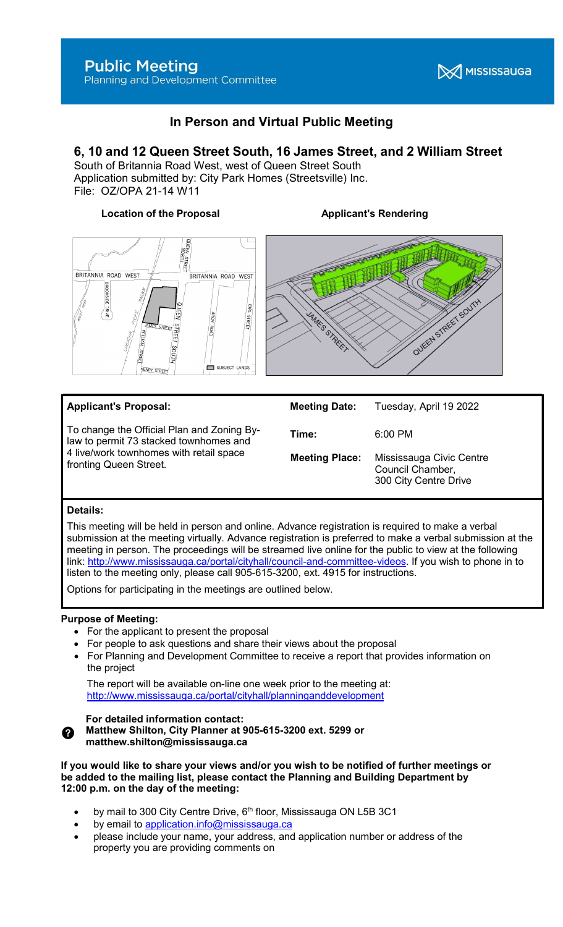

# In Person and Virtual Public Meeting

## 6, 10 and 12 Queen Street South, 16 James Street, and 2 William Street

South of Britannia Road West, west of Queen Street South Application submitted by: City Park Homes (Streetsville) Inc. File: OZ/OPA 21-14 W11

#### Location of the Proposal **Applicant's Rendering**





| <b>Applicant's Proposal:</b>                                                                                                                              | <b>Meeting Date:</b>  | Tuesday, April 19 2022                                                |
|-----------------------------------------------------------------------------------------------------------------------------------------------------------|-----------------------|-----------------------------------------------------------------------|
| To change the Official Plan and Zoning By-<br>law to permit 73 stacked townhomes and<br>4 live/work townhomes with retail space<br>fronting Queen Street. | Time:                 | $6:00 \, \text{PM}$                                                   |
|                                                                                                                                                           | <b>Meeting Place:</b> | Mississauga Civic Centre<br>Council Chamber,<br>300 City Centre Drive |

### Details:

This meeting will be held in person and online. Advance registration is required to make a verbal submission at the meeting virtually. Advance registration is preferred to make a verbal submission at the meeting in person. The proceedings will be streamed live online for the public to view at the following link: http://www.mississauga.ca/portal/cityhall/council-and-committee-videos. If you wish to phone in to listen to the meeting only, please call 905-615-3200, ext. 4915 for instructions.

Options for participating in the meetings are outlined below.

#### Purpose of Meeting:

- For the applicant to present the proposal
- For people to ask questions and share their views about the proposal
- For Planning and Development Committee to receive a report that provides information on the project

 The report will be available on-line one week prior to the meeting at: http://www.mississauga.ca/portal/cityhall/planninganddevelopment

#### For detailed information contact:

Matthew Shilton, City Planner at 905-615-3200 ext. 5299 or matthew.shilton@mississauga.ca

If you would like to share your views and/or you wish to be notified of further meetings or be added to the mailing list, please contact the Planning and Building Department by 12:00 p.m. on the day of the meeting:

- by mail to 300 City Centre Drive, 6<sup>th</sup> floor, Mississauga ON L5B 3C1
- by email to application.info@mississauga.ca
- please include your name, your address, and application number or address of the property you are providing comments on